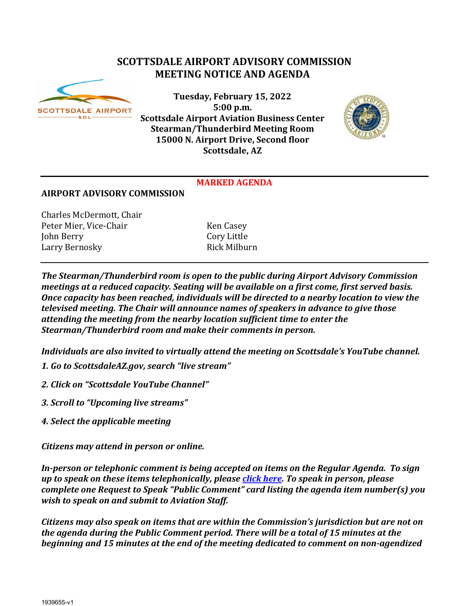# **SCOTTSDALE AIRPORT ADVISORY COMMISSION MEETING NOTICE AND AGENDA**



**Tuesday, February 15, 2022 5:00 p.m. Scottsdale Airport Aviation Business Center Stearman/Thunderbird Meeting Room 15000 N. Airport Drive, Second floor Scottsdale, AZ**



#### **MARKED AGENDA**

#### **AIRPORT ADVISORY COMMISSION**

Charles McDermott, Chair Peter Mier, Vice-Chair Frank (Ken Casey Ken Casey Iohn Berry John Berry Cory Little Larry Bernosky

*The Stearman/Thunderbird room is open to the public during Airport Advisory Commission meetings at a reduced capacity. Seating will be available on a first come, first served basis. Once capacity has been reached, individuals will be directed to a nearby location to view the televised meeting. The Chair will announce names of speakers in advance to give those attending the meeting from the nearby location sufficient time to enter the Stearman/Thunderbird room and make their comments in person.*

*Individuals are also invited to virtually attend the meeting on Scottsdale's YouTube channel.*

- *1. Go to ScottsdaleAZ.gov, search "live stream"*
- *2. Click on "Scottsdale YouTube Channel"*
- *3. Scroll to "Upcoming live streams"*
- *4. Select the applicable meeting*

*Citizens may attend in person or online.* 

*In-person or telephonic comment is being accepted on items on the Regular Agenda. To sign up to speak on these items telephonically, please [click here.](https://www.scottsdaleaz.gov/boards/airport-advisory-commission/spoken-comment) To speak in person, please complete one Request to Speak "Public Comment" card listing the agenda item number(s) you wish to speak on and submit to Aviation Staff.*

*Citizens may also speak on items that are within the Commission's jurisdiction but are not on the agenda during the Public Comment period. There will be a total of 15 minutes at the beginning and 15 minutes at the end of the meeting dedicated to comment on non-agendized*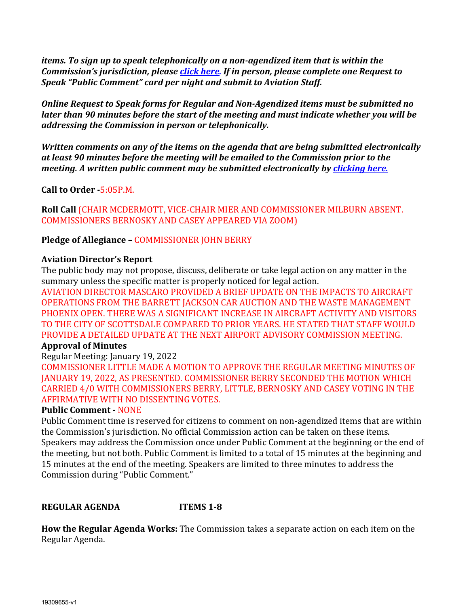*items. To sign up to speak telephonically on a non-agendized item that is within the Commission's jurisdiction, please [click here.](https://www.scottsdaleaz.gov/boards/airport-advisory-commission/spoken-comment) If in person, please complete one Request to Speak "Public Comment" card per night and submit to Aviation Staff.*

*Online Request to Speak forms for Regular and Non-Agendized items must be submitted no later than 90 minutes before the start of the meeting and must indicate whether you will be addressing the Commission in person or telephonically.* 

*Written comments on any of the items on the agenda that are being submitted electronically at least 90 minutes before the meeting will be emailed to the Commission prior to the meeting. A written public comment may be submitted electronically by [clicking here.](https://www.scottsdaleaz.gov/boards/airport-advisory-commission/public-comment)*

**Call to Order -**5:05P.M.

**Roll Call** (CHAIR MCDERMOTT, VICE-CHAIR MIER AND COMMISSIONER MILBURN ABSENT. COMMISSIONERS BERNOSKY AND CASEY APPEARED VIA ZOOM)

**Pledge of Allegiance –** COMMISSIONER JOHN BERRY

### **Aviation Director's Report**

The public body may not propose, discuss, deliberate or take legal action on any matter in the summary unless the specific matter is properly noticed for legal action.

AVIATION DIRECTOR MASCARO PROVIDED A BRIEF UPDATE ON THE IMPACTS TO AIRCRAFT OPERATIONS FROM THE BARRETT JACKSON CAR AUCTION AND THE WASTE MANAGEMENT PHOENIX OPEN. THERE WAS A SIGNIFICANT INCREASE IN AIRCRAFT ACTIVITY AND VISITORS TO THE CITY OF SCOTTSDALE COMPARED TO PRIOR YEARS. HE STATED THAT STAFF WOULD PROVIDE A DETAILED UPDATE AT THE NEXT AIRPORT ADVISORY COMMISSION MEETING.

### **Approval of Minutes**

Regular Meeting: January 19, 2022

COMMISSIONER LITTLE MADE A MOTION TO APPROVE THE REGULAR MEETING MINUTES OF JANUARY 19, 2022, AS PRESENTED. COMMISSIONER BERRY SECONDED THE MOTION WHICH CARRIED 4/0 WITH COMMISSIONERS BERRY, LITTLE, BERNOSKY AND CASEY VOTING IN THE AFFIRMATIVE WITH NO DISSENTING VOTES.

### **Public Comment -** NONE

Public Comment time is reserved for citizens to comment on non-agendized items that are within the Commission's jurisdiction. No official Commission action can be taken on these items. Speakers may address the Commission once under Public Comment at the beginning or the end of the meeting, but not both. Public Comment is limited to a total of 15 minutes at the beginning and 15 minutes at the end of the meeting. Speakers are limited to three minutes to address the Commission during "Public Comment."

## **REGULAR AGENDA ITEMS 1-8**

**How the Regular Agenda Works:** The Commission takes a separate action on each item on the Regular Agenda.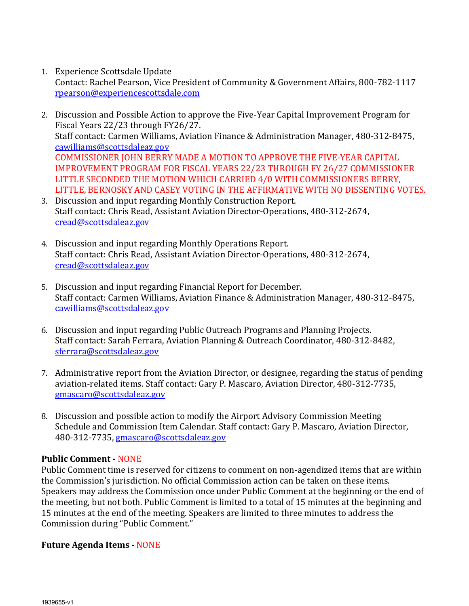1. Experience Scottsdale Update

Contact: Rachel Pearson, Vice President of Community & Government Affairs, 800-782-1117 [rpearson@experiencescottsdale.com](mailto:rpearson@experiencescottsdale.com)

- 2. Discussion and Possible Action to approve the Five-Year Capital Improvement Program for Fiscal Years 22/23 through FY26/27. Staff contact: Carmen Williams, Aviation Finance & Administration Manager, 480-312-8475, [cawilliams@scottsdaleaz.gov](mailto:cawilliams@scottsdaleaz.gov) COMMISSIONER JOHN BERRY MADE A MOTION TO APPROVE THE FIVE-YEAR CAPITAL IMPROVEMENT PROGRAM FOR FISCAL YEARS 22/23 THROUGH FY 26/27 COMMISSIONER LITTLE SECONDED THE MOTION WHICH CARRIED 4/0 WITH COMMISSIONERS BERRY, LITTLE, BERNOSKY AND CASEY VOTING IN THE AFFIRMATIVE WITH NO DISSENTING VOTES.
- 3. Discussion and input regarding Monthly Construction Report. Staff contact: Chris Read, Assistant Aviation Director-Operations, 480-312-2674, [cread@scottsdaleaz.gov](mailto:cread@scottsdaleaz.gov)
- 4. Discussion and input regarding Monthly Operations Report. Staff contact: Chris Read, Assistant Aviation Director-Operations, 480-312-2674, [cread@scottsdaleaz.gov](mailto:cread@scottsdaleaz.gov)
- 5. Discussion and input regarding Financial Report for December. Staff contact: Carmen Williams, Aviation Finance & Administration Manager, 480-312-8475, [cawilliams@scottsdaleaz.gov](mailto:cawilliams@scottsdaleaz.gov)
- 6. Discussion and input regarding Public Outreach Programs and Planning Projects. Staff contact: Sarah Ferrara, Aviation Planning & Outreach Coordinator, 480-312-8482, [sferrara@scottsdaleaz.gov](mailto:sferrara@scottsdaleaz.gov)
- 7. Administrative report from the Aviation Director, or designee, regarding the status of pending aviation-related items. Staff contact: Gary P. Mascaro, Aviation Director, 480-312-7735, [gmascaro@scottsdaleaz.gov](mailto:gmascaro@scottsdaleaz.gov)
- 8. Discussion and possible action to modify the Airport Advisory Commission Meeting Schedule and Commission Item Calendar. Staff contact: Gary P. Mascaro, Aviation Director, 480-312-7735, [gmascaro@scottsdaleaz.gov](mailto:gmascaro@scottsdaleaz.gov)

### **Public Comment -** NONE

Public Comment time is reserved for citizens to comment on non-agendized items that are within the Commission's jurisdiction. No official Commission action can be taken on these items. Speakers may address the Commission once under Public Comment at the beginning or the end of the meeting, but not both. Public Comment is limited to a total of 15 minutes at the beginning and 15 minutes at the end of the meeting. Speakers are limited to three minutes to address the Commission during "Public Comment."

### **Future Agenda Items -** NONE